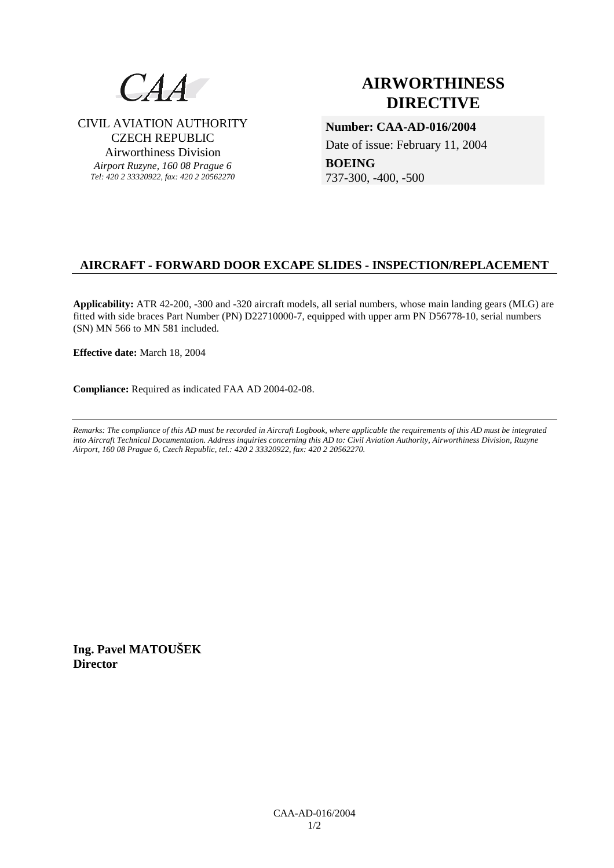

CIVIL AVIATION AUTHORITY CZECH REPUBLIC Airworthiness Division *Airport Ruzyne, 160 08 Prague 6 Tel: 420 2 33320922, fax: 420 2 20562270*

# **AIRWORTHINESS DIRECTIVE**

**Number: CAA-AD-016/2004**  Date of issue: February 11, 2004

**BOEING**  737-300, -400, -500

# **AIRCRAFT - FORWARD DOOR EXCAPE SLIDES - INSPECTION/REPLACEMENT**

**Applicability:** ATR 42-200, -300 and -320 aircraft models, all serial numbers, whose main landing gears (MLG) are fitted with side braces Part Number (PN) D22710000-7, equipped with upper arm PN D56778-10, serial numbers (SN) MN 566 to MN 581 included.

**Effective date:** March 18, 2004

**Compliance:** Required as indicated FAA AD 2004-02-08.

*Remarks: The compliance of this AD must be recorded in Aircraft Logbook, where applicable the requirements of this AD must be integrated into Aircraft Technical Documentation. Address inquiries concerning this AD to: Civil Aviation Authority, Airworthiness Division, Ruzyne Airport, 160 08 Prague 6, Czech Republic, tel.: 420 2 33320922, fax: 420 2 20562270.* 

**Ing. Pavel MATOUŠEK Director**